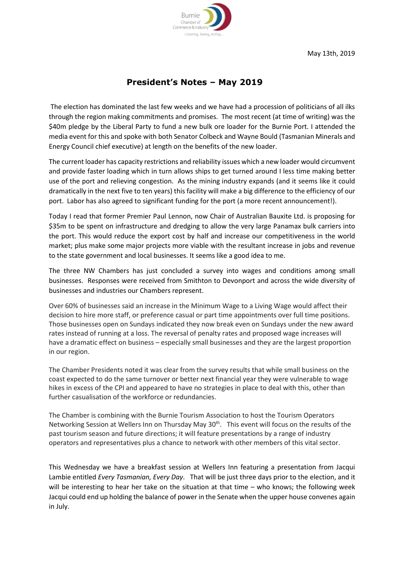

May 13th, 2019

## **President's Notes – May 2019**

The election has dominated the last few weeks and we have had a procession of politicians of all ilks through the region making commitments and promises. The most recent (at time of writing) was the \$40m pledge by the Liberal Party to fund a new bulk ore loader for the Burnie Port. I attended the media event for this and spoke with both Senator Colbeck and Wayne Bould (Tasmanian Minerals and Energy Council chief executive) at length on the benefits of the new loader.

The current loader has capacity restrictions and reliability issues which a new loader would circumvent and provide faster loading which in turn allows ships to get turned around I less time making better use of the port and relieving congestion. As the mining industry expands (and it seems like it could dramatically in the next five to ten years) this facility will make a big difference to the efficiency of our port. Labor has also agreed to significant funding for the port (a more recent announcement!).

Today I read that former Premier Paul Lennon, now Chair of Australian Bauxite Ltd. is proposing for \$35m to be spent on infrastructure and dredging to allow the very large Panamax bulk carriers into the port. This would reduce the export cost by half and increase our competitiveness in the world market; plus make some major projects more viable with the resultant increase in jobs and revenue to the state government and local businesses. It seems like a good idea to me.

The three NW Chambers has just concluded a survey into wages and conditions among small businesses. Responses were received from Smithton to Devonport and across the wide diversity of businesses and industries our Chambers represent.

Over 60% of businesses said an increase in the Minimum Wage to a Living Wage would affect their decision to hire more staff, or preference casual or part time appointments over full time positions. Those businesses open on Sundays indicated they now break even on Sundays under the new award rates instead of running at a loss. The reversal of penalty rates and proposed wage increases will have a dramatic effect on business – especially small businesses and they are the largest proportion in our region.

The Chamber Presidents noted it was clear from the survey results that while small business on the coast expected to do the same turnover or better next financial year they were vulnerable to wage hikes in excess of the CPI and appeared to have no strategies in place to deal with this, other than further casualisation of the workforce or redundancies.

The Chamber is combining with the Burnie Tourism Association to host the Tourism Operators Networking Session at Wellers Inn on Thursday May 30<sup>th</sup>. This event will focus on the results of the past tourism season and future directions; it will feature presentations by a range of industry operators and representatives plus a chance to network with other members of this vital sector.

This Wednesday we have a breakfast session at Wellers Inn featuring a presentation from Jacqui Lambie entitled *Every Tasmanian, Every Day*. That will be just three days prior to the election, and it will be interesting to hear her take on the situation at that time – who knows; the following week Jacqui could end up holding the balance of power in the Senate when the upper house convenes again in July.